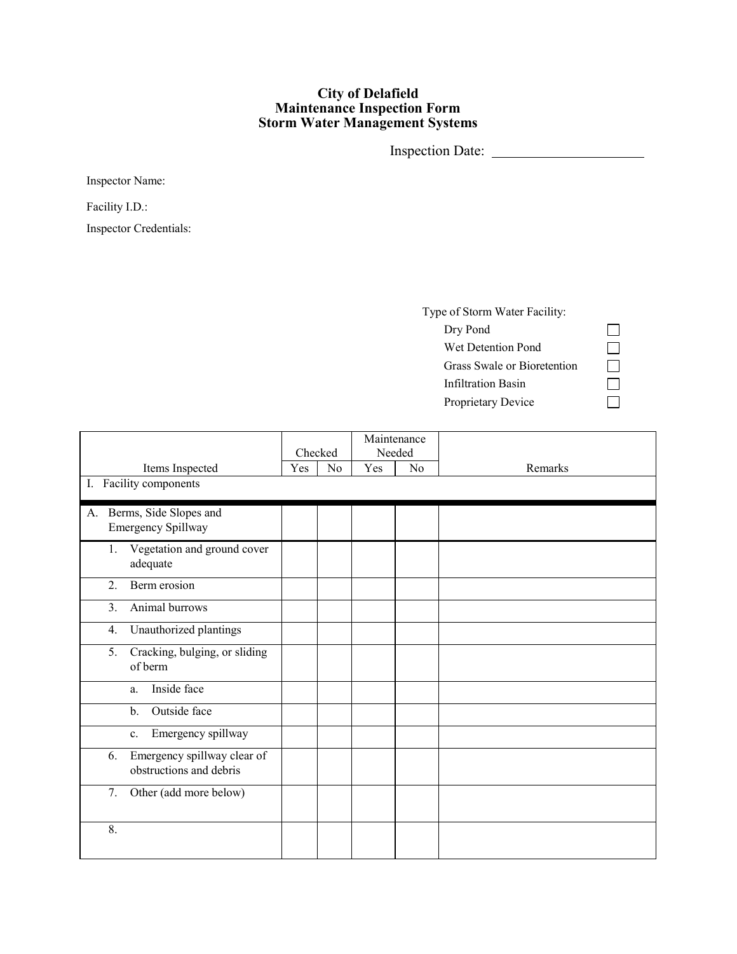## **City of Delafield Maintenance Inspection Form Storm Water Management Systems**

Inspection Date:

Inspector Name:

Facility I.D.:

Inspector Credentials:

| Type of Storm Water Facility: |
|-------------------------------|
| Dry Pond                      |
| Wet Detention Pond            |
| Grass Swale or Bioretention   |
| Infiltration Basin            |
| Proprietary Device            |

 $\begin{array}{c} \square \\ \square \\ \square \end{array}$ 

|                                                              | Checked |                | Maintenance<br>Needed |                |         |
|--------------------------------------------------------------|---------|----------------|-----------------------|----------------|---------|
| Items Inspected                                              | Yes     | N <sub>o</sub> | Yes                   | N <sub>o</sub> | Remarks |
| I. Facility components                                       |         |                |                       |                |         |
| A. Berms, Side Slopes and<br><b>Emergency Spillway</b>       |         |                |                       |                |         |
| Vegetation and ground cover<br>1.<br>adequate                |         |                |                       |                |         |
| Berm erosion<br>2.                                           |         |                |                       |                |         |
| Animal burrows<br>3.                                         |         |                |                       |                |         |
| Unauthorized plantings<br>4.                                 |         |                |                       |                |         |
| Cracking, bulging, or sliding<br>5.<br>of berm               |         |                |                       |                |         |
| Inside face<br>a.                                            |         |                |                       |                |         |
| Outside face<br>$\mathbf{b}$ .                               |         |                |                       |                |         |
| Emergency spillway<br>c.                                     |         |                |                       |                |         |
| Emergency spillway clear of<br>6.<br>obstructions and debris |         |                |                       |                |         |
| Other (add more below)<br>7.                                 |         |                |                       |                |         |
| 8.                                                           |         |                |                       |                |         |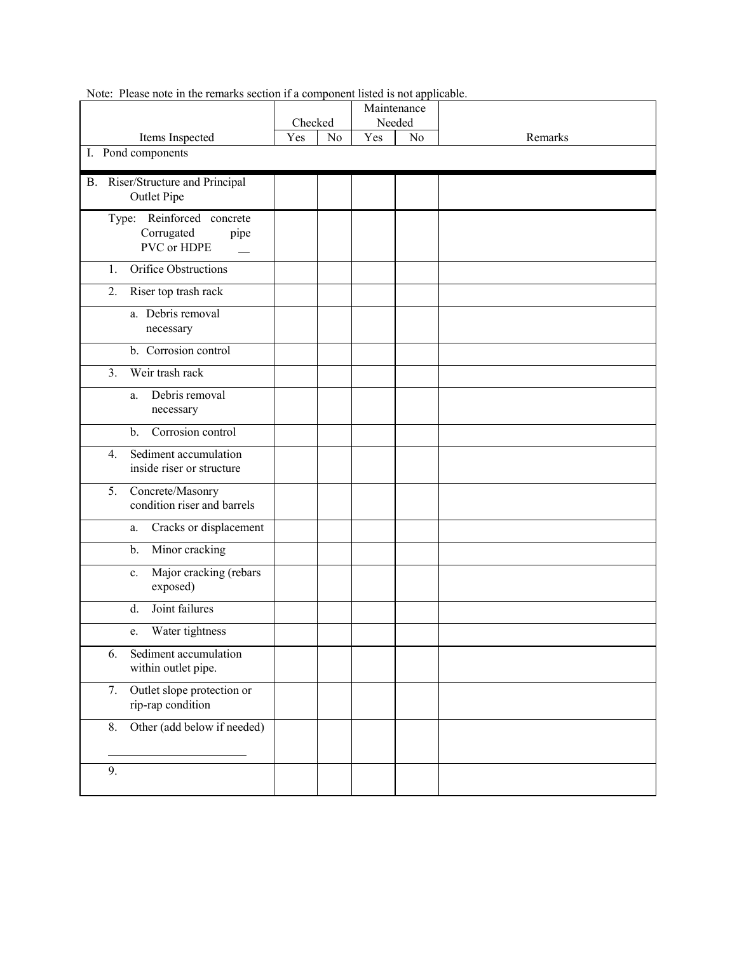|                                                       | Checked               |  | Maintenance<br>Needed |    |         |
|-------------------------------------------------------|-----------------------|--|-----------------------|----|---------|
| Items Inspected                                       | Yes<br>N <sub>o</sub> |  | Yes                   | No | Remarks |
| I. Pond components                                    |                       |  |                       |    |         |
|                                                       |                       |  |                       |    |         |
| B. Riser/Structure and Principal                      |                       |  |                       |    |         |
| <b>Outlet Pipe</b>                                    |                       |  |                       |    |         |
| Type: Reinforced concrete                             |                       |  |                       |    |         |
| Corrugated<br>pipe                                    |                       |  |                       |    |         |
| PVC or HDPE                                           |                       |  |                       |    |         |
| Orifice Obstructions<br>1.                            |                       |  |                       |    |         |
| 2.<br>Riser top trash rack                            |                       |  |                       |    |         |
| a. Debris removal                                     |                       |  |                       |    |         |
| necessary                                             |                       |  |                       |    |         |
| b. Corrosion control                                  |                       |  |                       |    |         |
| Weir trash rack<br>3.                                 |                       |  |                       |    |         |
| Debris removal<br>a.                                  |                       |  |                       |    |         |
| necessary                                             |                       |  |                       |    |         |
| Corrosion control<br>$b$ .                            |                       |  |                       |    |         |
| Sediment accumulation<br>$\overline{4}$ .             |                       |  |                       |    |         |
| inside riser or structure                             |                       |  |                       |    |         |
| Concrete/Masonry<br>5.                                |                       |  |                       |    |         |
| condition riser and barrels                           |                       |  |                       |    |         |
| Cracks or displacement<br>a.                          |                       |  |                       |    |         |
| Minor cracking<br>$\mathbf{b}$ .                      |                       |  |                       |    |         |
| Major cracking (rebars<br>c.                          |                       |  |                       |    |         |
| exposed)                                              |                       |  |                       |    |         |
| Joint failures<br>d.                                  |                       |  |                       |    |         |
| Water tightness<br>e.                                 |                       |  |                       |    |         |
| Sediment accumulation<br>6.                           |                       |  |                       |    |         |
| within outlet pipe.                                   |                       |  |                       |    |         |
| Outlet slope protection or<br>7.<br>rip-rap condition |                       |  |                       |    |         |
|                                                       |                       |  |                       |    |         |
| Other (add below if needed)<br>8.                     |                       |  |                       |    |         |
|                                                       |                       |  |                       |    |         |
| 9.                                                    |                       |  |                       |    |         |
|                                                       |                       |  |                       |    |         |

Note: Please note in the remarks section if a component listed is not applicable.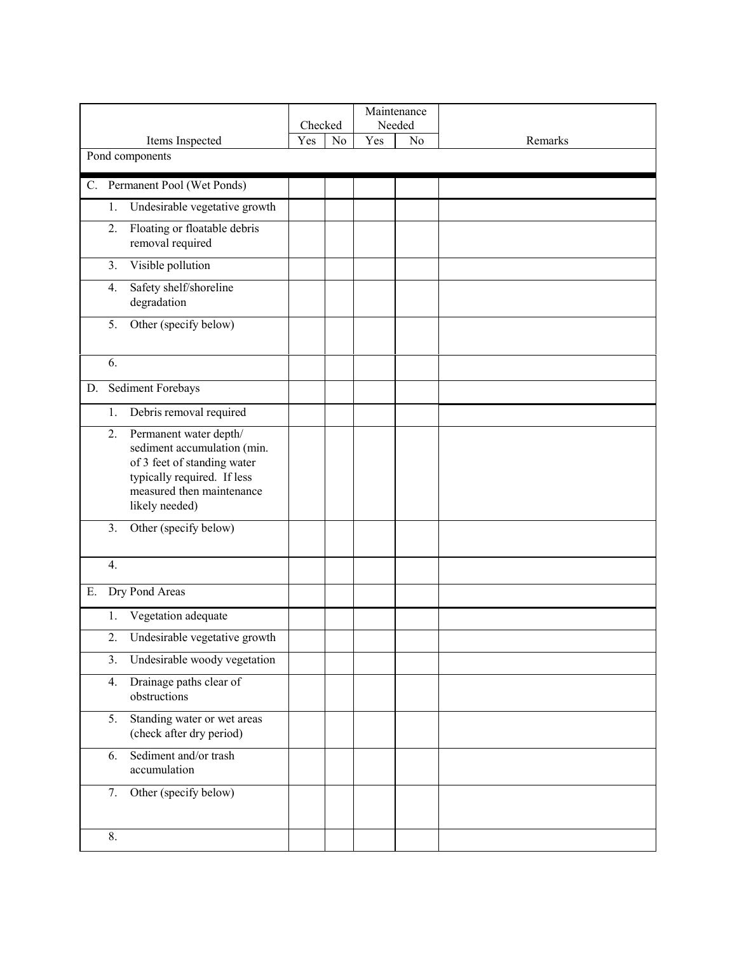|                                                                                                                                                                          |                |    | Maintenance<br>Needed |    |         |
|--------------------------------------------------------------------------------------------------------------------------------------------------------------------------|----------------|----|-----------------------|----|---------|
| Items Inspected                                                                                                                                                          | Checked<br>Yes | No | Yes                   | No | Remarks |
| Pond components                                                                                                                                                          |                |    |                       |    |         |
| C. Permanent Pool (Wet Ponds)                                                                                                                                            |                |    |                       |    |         |
| Undesirable vegetative growth<br>1.                                                                                                                                      |                |    |                       |    |         |
| Floating or floatable debris<br>2.<br>removal required                                                                                                                   |                |    |                       |    |         |
| Visible pollution<br>3.                                                                                                                                                  |                |    |                       |    |         |
| Safety shelf/shoreline<br>4.<br>degradation                                                                                                                              |                |    |                       |    |         |
| Other (specify below)<br>5.                                                                                                                                              |                |    |                       |    |         |
| 6.                                                                                                                                                                       |                |    |                       |    |         |
| Sediment Forebays<br>D.                                                                                                                                                  |                |    |                       |    |         |
| Debris removal required<br>1.                                                                                                                                            |                |    |                       |    |         |
| Permanent water depth/<br>2.<br>sediment accumulation (min.<br>of 3 feet of standing water<br>typically required. If less<br>measured then maintenance<br>likely needed) |                |    |                       |    |         |
| 3.<br>Other (specify below)                                                                                                                                              |                |    |                       |    |         |
| 4.                                                                                                                                                                       |                |    |                       |    |         |
| Dry Pond Areas<br>Ε.                                                                                                                                                     |                |    |                       |    |         |
| Vegetation adequate<br>1.                                                                                                                                                |                |    |                       |    |         |
| 2.<br>Undesirable vegetative growth                                                                                                                                      |                |    |                       |    |         |
| Undesirable woody vegetation<br>3.                                                                                                                                       |                |    |                       |    |         |
| Drainage paths clear of<br>4.<br>obstructions                                                                                                                            |                |    |                       |    |         |
| Standing water or wet areas<br>5.<br>(check after dry period)                                                                                                            |                |    |                       |    |         |
| Sediment and/or trash<br>6.<br>accumulation                                                                                                                              |                |    |                       |    |         |
| Other (specify below)<br>7.                                                                                                                                              |                |    |                       |    |         |
| 8.                                                                                                                                                                       |                |    |                       |    |         |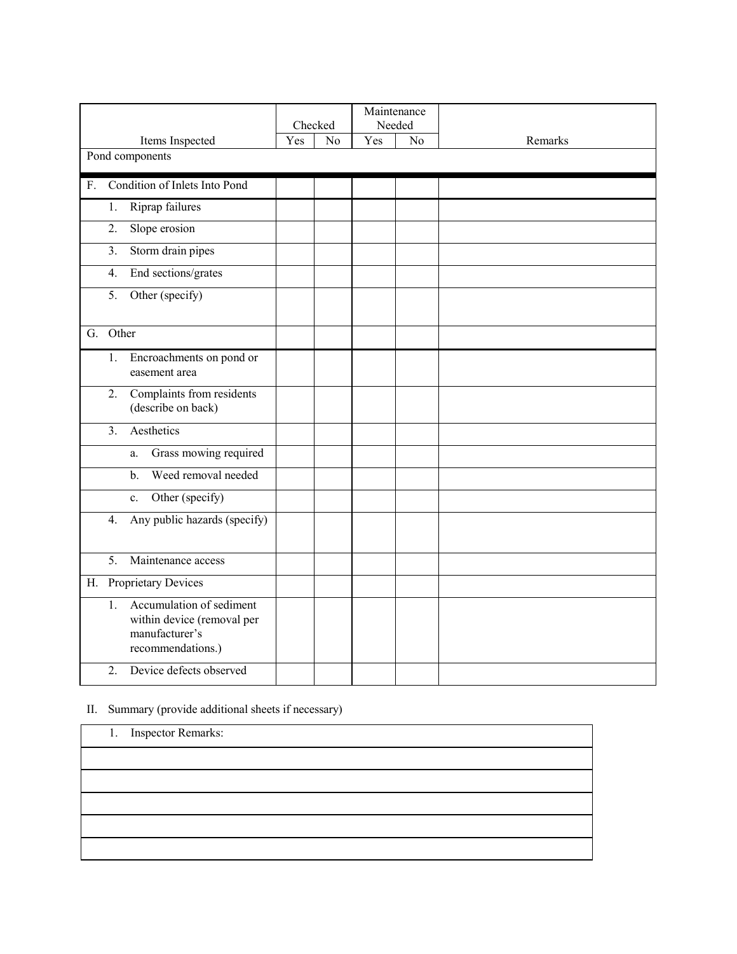|                                                                                                     | Checked |    |     | Maintenance<br>Needed |         |
|-----------------------------------------------------------------------------------------------------|---------|----|-----|-----------------------|---------|
| Items Inspected                                                                                     | Yes     | No | Yes | No                    | Remarks |
| Pond components                                                                                     |         |    |     |                       |         |
| Condition of Inlets Into Pond<br>$F_{\cdot}$                                                        |         |    |     |                       |         |
| Riprap failures<br>1.                                                                               |         |    |     |                       |         |
| Slope erosion<br>2.                                                                                 |         |    |     |                       |         |
| 3.<br>Storm drain pipes                                                                             |         |    |     |                       |         |
| End sections/grates<br>4.                                                                           |         |    |     |                       |         |
| 5.<br>Other (specify)                                                                               |         |    |     |                       |         |
| Other<br>G.                                                                                         |         |    |     |                       |         |
| 1.<br>Encroachments on pond or<br>easement area                                                     |         |    |     |                       |         |
| Complaints from residents<br>2.<br>(describe on back)                                               |         |    |     |                       |         |
| Aesthetics<br>3.                                                                                    |         |    |     |                       |         |
| Grass mowing required<br>a.                                                                         |         |    |     |                       |         |
| Weed removal needed<br>$\mathbf{b}$ .                                                               |         |    |     |                       |         |
| Other (specify)<br>$c_{\cdot}$                                                                      |         |    |     |                       |         |
| Any public hazards (specify)<br>4.                                                                  |         |    |     |                       |         |
| Maintenance access<br>5.                                                                            |         |    |     |                       |         |
| H. Proprietary Devices                                                                              |         |    |     |                       |         |
| Accumulation of sediment<br>1.<br>within device (removal per<br>manufacturer's<br>recommendations.) |         |    |     |                       |         |
| 2.<br>Device defects observed                                                                       |         |    |     |                       |         |

## II. Summary (provide additional sheets if necessary)

| 1. Inspector Remarks: |
|-----------------------|
|                       |
|                       |
|                       |
|                       |
|                       |